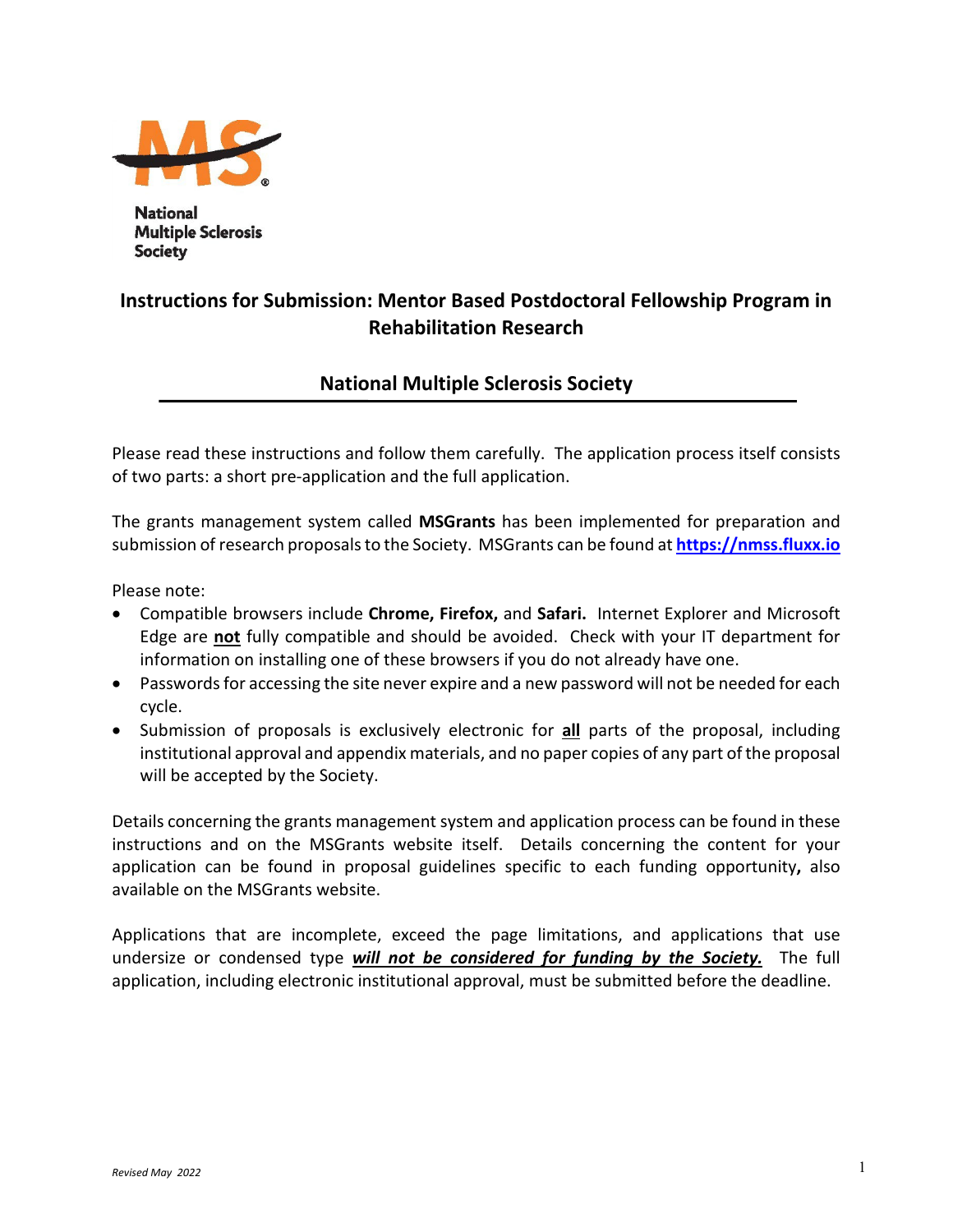

**National Multiple Sclerosis Society** 

# **Instructions for Submission: Mentor Based Postdoctoral Fellowship Program in Rehabilitation Research**

# **National Multiple Sclerosis Society**

Please read these instructions and follow them carefully. The application process itself consists of two parts: a short pre-application and the full application.

The grants management system called **MSGrants** has been implemented for preparation and submission of research proposals to the Society. MSGrants can be found at **[https://nmss.fluxx.io](https://nmss.fluxx.io/)**

Please note:

- Compatible browsers include **Chrome, Firefox,** and **Safari.** Internet Explorer and Microsoft Edge are **not** fully compatible and should be avoided. Check with your IT department for information on installing one of these browsers if you do not already have one.
- Passwords for accessing the site never expire and a new password will not be needed for each cycle.
- Submission of proposals is exclusively electronic for **all** parts of the proposal, including institutional approval and appendix materials, and no paper copies of any part of the proposal will be accepted by the Society.

Details concerning the grants management system and application process can be found in these instructions and on the MSGrants website itself. Details concerning the content for your application can be found in proposal guidelines specific to each funding opportunity**,** also available on the MSGrants website.

Applications that are incomplete, exceed the page limitations, and applications that use undersize or condensed type *will not be considered for funding by the Society.* The full application, including electronic institutional approval, must be submitted before the deadline.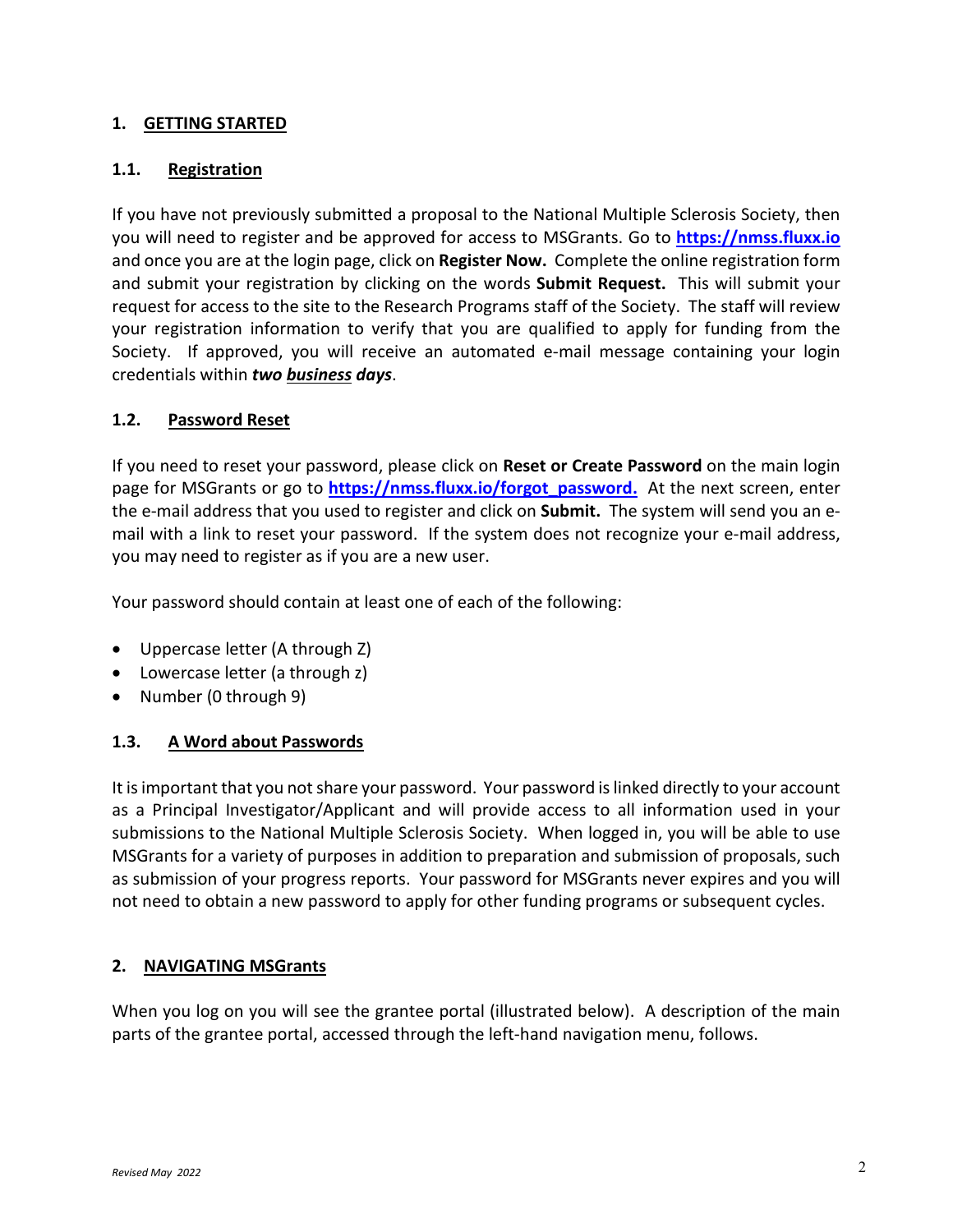## **1. GETTING STARTED**

### **1.1. Registration**

If you have not previously submitted a proposal to the National Multiple Sclerosis Society, then you will need to register and be approved for access to MSGrants. Go to **[https://nmss.fluxx.io](https://nmss.fluxx.io/)** and once you are at the login page, click on **Register Now.** Complete the online registration form and submit your registration by clicking on the words **Submit Request.** This will submit your request for access to the site to the Research Programs staff of the Society. The staff will review your registration information to verify that you are qualified to apply for funding from the Society. If approved, you will receive an automated e-mail message containing your login credentials within *two business days*.

### **1.2. Password Reset**

If you need to reset your password, please click on **Reset or Create Password** on the main login page for MSGrants or go to **[https://nmss.fluxx.io/forgot\\_password.](https://nmss.fluxx.io/forgot_password)** At the next screen, enter the e-mail address that you used to register and click on **Submit.** The system will send you an email with a link to reset your password. If the system does not recognize your e-mail address, you may need to register as if you are a new user.

Your password should contain at least one of each of the following:

- Uppercase letter (A through Z)
- Lowercase letter (a through z)
- Number (0 through 9)

### **1.3. A Word about Passwords**

It is important that you not share your password. Your password is linked directly to your account as a Principal Investigator/Applicant and will provide access to all information used in your submissions to the National Multiple Sclerosis Society. When logged in, you will be able to use MSGrants for a variety of purposes in addition to preparation and submission of proposals, such as submission of your progress reports. Your password for MSGrants never expires and you will not need to obtain a new password to apply for other funding programs or subsequent cycles.

### **2. NAVIGATING MSGrants**

When you log on you will see the grantee portal (illustrated below). A description of the main parts of the grantee portal, accessed through the left-hand navigation menu, follows.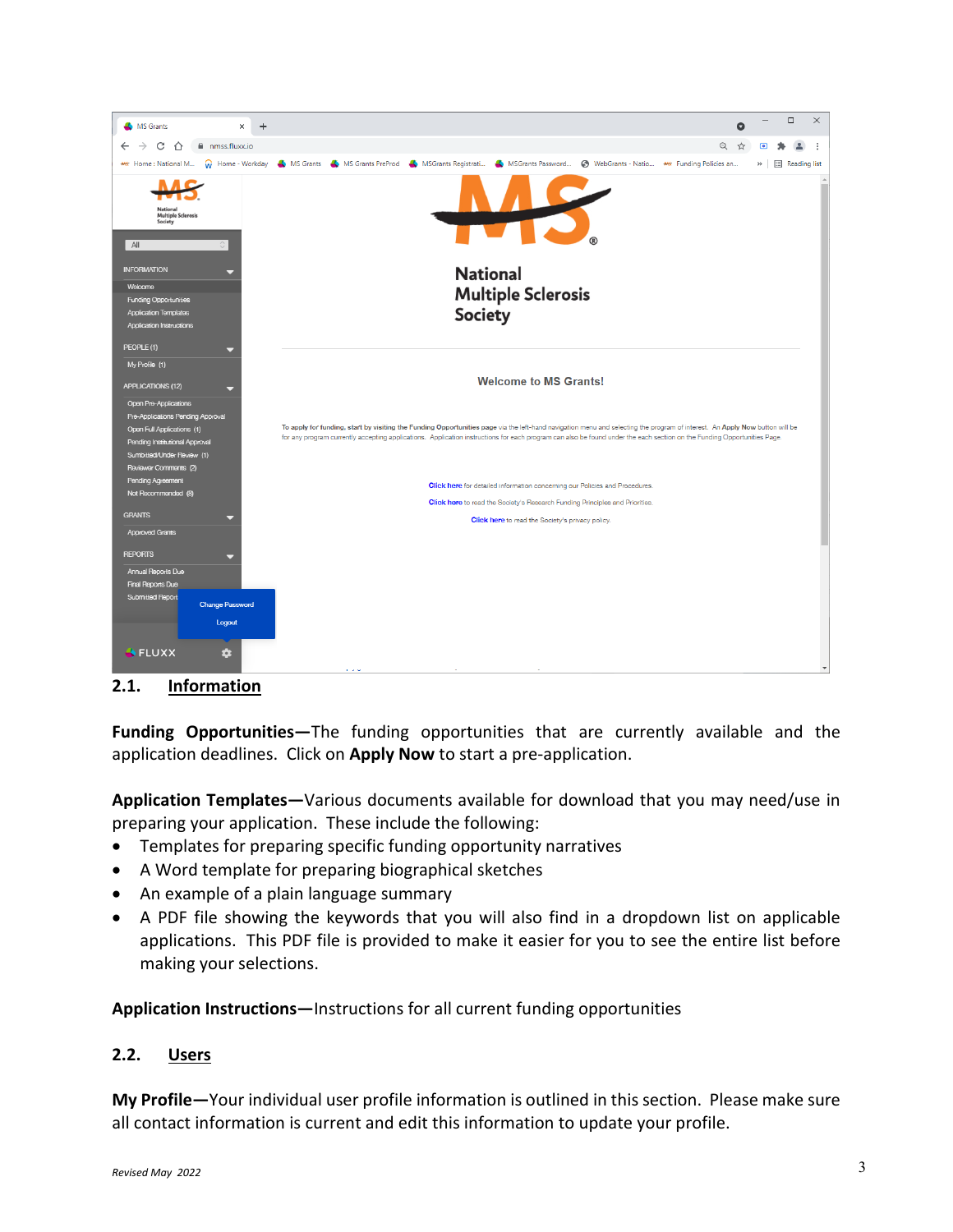

**2.1. Information**

**Funding Opportunities—**The funding opportunities that are currently available and the application deadlines. Click on **Apply Now** to start a pre-application.

**Application Templates—**Various documents available for download that you may need/use in preparing your application. These include the following:

- Templates for preparing specific funding opportunity narratives
- A Word template for preparing biographical sketches
- An example of a plain language summary
- A PDF file showing the keywords that you will also find in a dropdown list on applicable applications. This PDF file is provided to make it easier for you to see the entire list before making your selections.

**Application Instructions—**Instructions for all current funding opportunities

### **2.2. Users**

**My Profile—**Your individual user profile information is outlined in this section. Please make sure all contact information is current and edit this information to update your profile.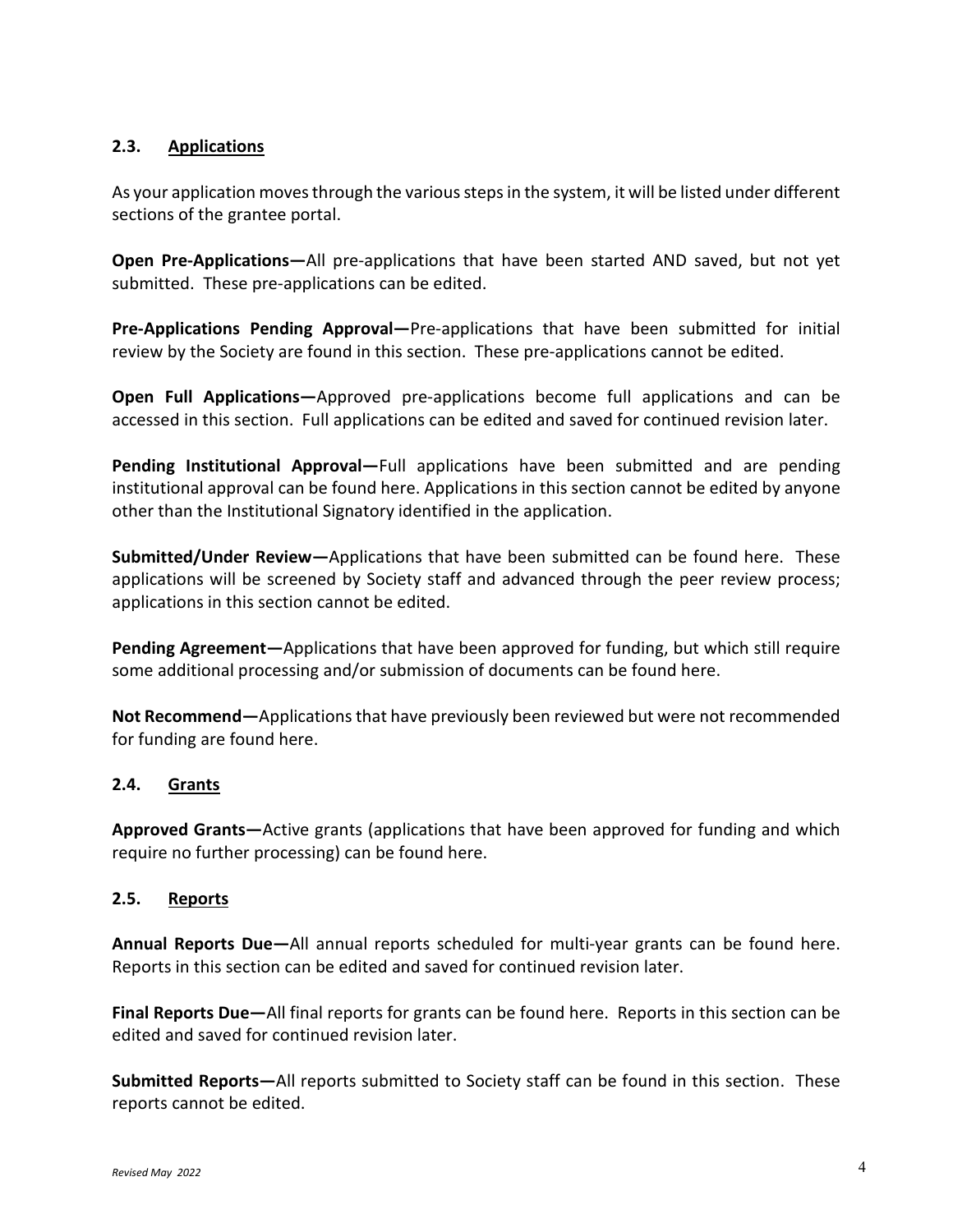### **2.3. Applications**

As your application moves through the various steps in the system, it will be listed under different sections of the grantee portal.

**Open Pre-Applications—**All pre-applications that have been started AND saved, but not yet submitted. These pre-applications can be edited.

**Pre-Applications Pending Approval—**Pre-applications that have been submitted for initial review by the Society are found in this section. These pre-applications cannot be edited.

**Open Full Applications—**Approved pre-applications become full applications and can be accessed in this section. Full applications can be edited and saved for continued revision later.

**Pending Institutional Approval—**Full applications have been submitted and are pending institutional approval can be found here. Applications in this section cannot be edited by anyone other than the Institutional Signatory identified in the application.

**Submitted/Under Review—**Applications that have been submitted can be found here. These applications will be screened by Society staff and advanced through the peer review process; applications in this section cannot be edited.

**Pending Agreement—**Applications that have been approved for funding, but which still require some additional processing and/or submission of documents can be found here.

**Not Recommend—**Applications that have previously been reviewed but were not recommended for funding are found here.

# **2.4. Grants**

**Approved Grants—**Active grants (applications that have been approved for funding and which require no further processing) can be found here.

### **2.5. Reports**

**Annual Reports Due—**All annual reports scheduled for multi-year grants can be found here. Reports in this section can be edited and saved for continued revision later.

**Final Reports Due—**All final reports for grants can be found here. Reports in this section can be edited and saved for continued revision later.

**Submitted Reports—**All reports submitted to Society staff can be found in this section. These reports cannot be edited.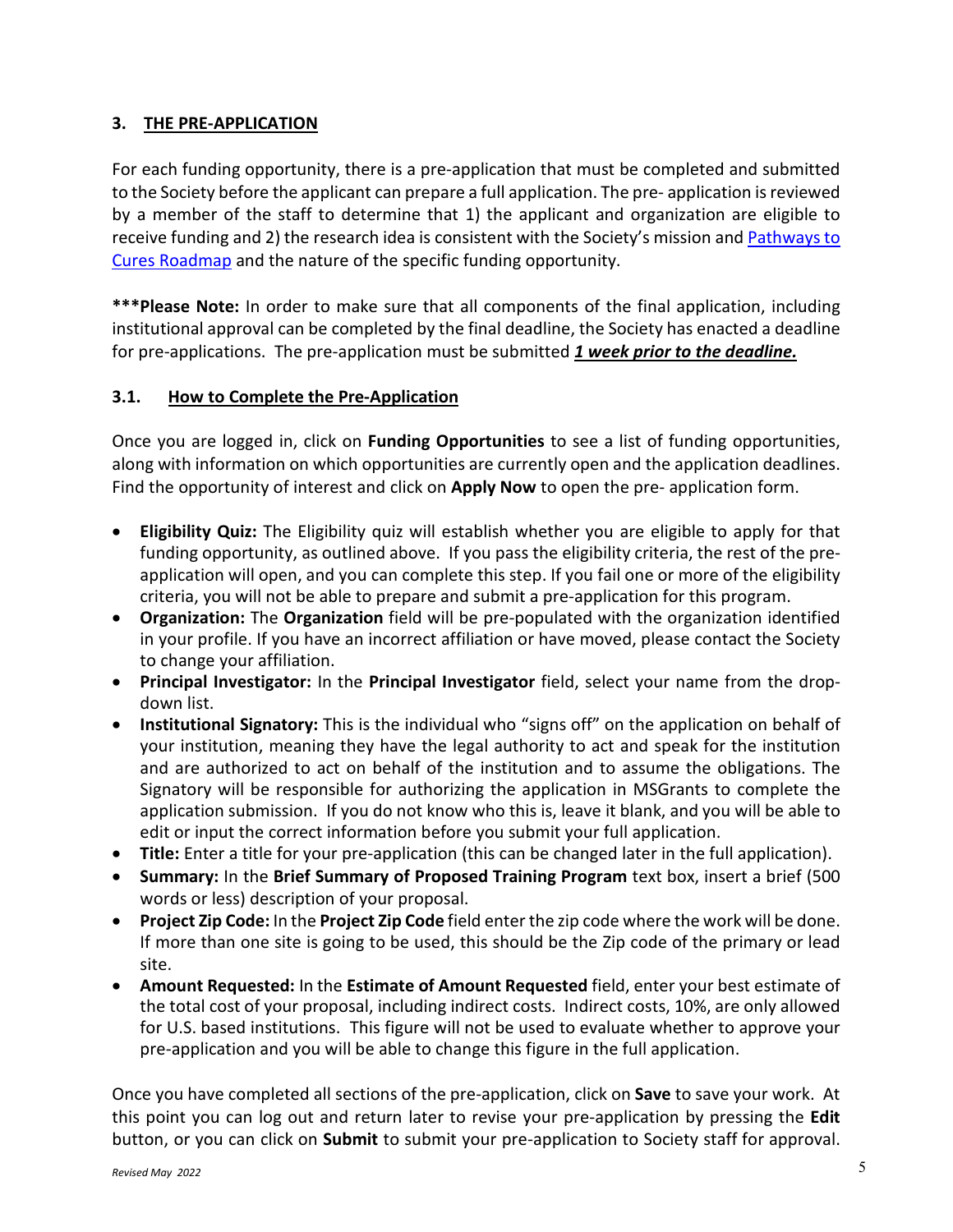# **3. THE PRE-APPLICATION**

For each funding opportunity, there is a pre-application that must be completed and submitted to the Society before the applicant can prepare a full application. The pre- application is reviewed by a member of the staff to determine that 1) the applicant and organization are eligible to receive funding and 2) the research idea is consistent with the Society's mission an[d Pathways to](https://journals.sagepub.com/doi/10.1177/13524585221075990)  [Cures Roadmap](https://journals.sagepub.com/doi/10.1177/13524585221075990) and the nature of the specific funding opportunity.

**\*\*\*Please Note:** In order to make sure that all components of the final application, including institutional approval can be completed by the final deadline, the Society has enacted a deadline for pre-applications. The pre-application must be submitted *1 week prior to the deadline.*

# **3.1. How to Complete the Pre-Application**

Once you are logged in, click on **Funding Opportunities** to see a list of funding opportunities, along with information on which opportunities are currently open and the application deadlines. Find the opportunity of interest and click on **Apply Now** to open the pre- application form.

- **Eligibility Quiz:** The Eligibility quiz will establish whether you are eligible to apply for that funding opportunity, as outlined above. If you pass the eligibility criteria, the rest of the preapplication will open, and you can complete this step. If you fail one or more of the eligibility criteria, you will not be able to prepare and submit a pre-application for this program.
- **Organization:** The **Organization** field will be pre-populated with the organization identified in your profile. If you have an incorrect affiliation or have moved, please contact the Society to change your affiliation.
- **Principal Investigator:** In the **Principal Investigator** field, select your name from the dropdown list.
- **Institutional Signatory:** This is the individual who "signs off" on the application on behalf of your institution, meaning they have the legal authority to act and speak for the institution and are authorized to act on behalf of the institution and to assume the obligations. The Signatory will be responsible for authorizing the application in MSGrants to complete the application submission. If you do not know who this is, leave it blank, and you will be able to edit or input the correct information before you submit your full application.
- **Title:** Enter a title for your pre-application (this can be changed later in the full application).
- **Summary:** In the **Brief Summary of Proposed Training Program** text box, insert a brief (500 words or less) description of your proposal.
- **Project Zip Code:** In the **Project Zip Code** field enter the zip code where the work will be done. If more than one site is going to be used, this should be the Zip code of the primary or lead site.
- **Amount Requested:** In the **Estimate of Amount Requested** field, enter your best estimate of the total cost of your proposal, including indirect costs. Indirect costs, 10%, are only allowed for U.S. based institutions. This figure will not be used to evaluate whether to approve your pre-application and you will be able to change this figure in the full application.

Once you have completed all sections of the pre-application, click on **Save** to save your work. At this point you can log out and return later to revise your pre-application by pressing the **Edit**  button, or you can click on **Submit** to submit your pre-application to Society staff for approval.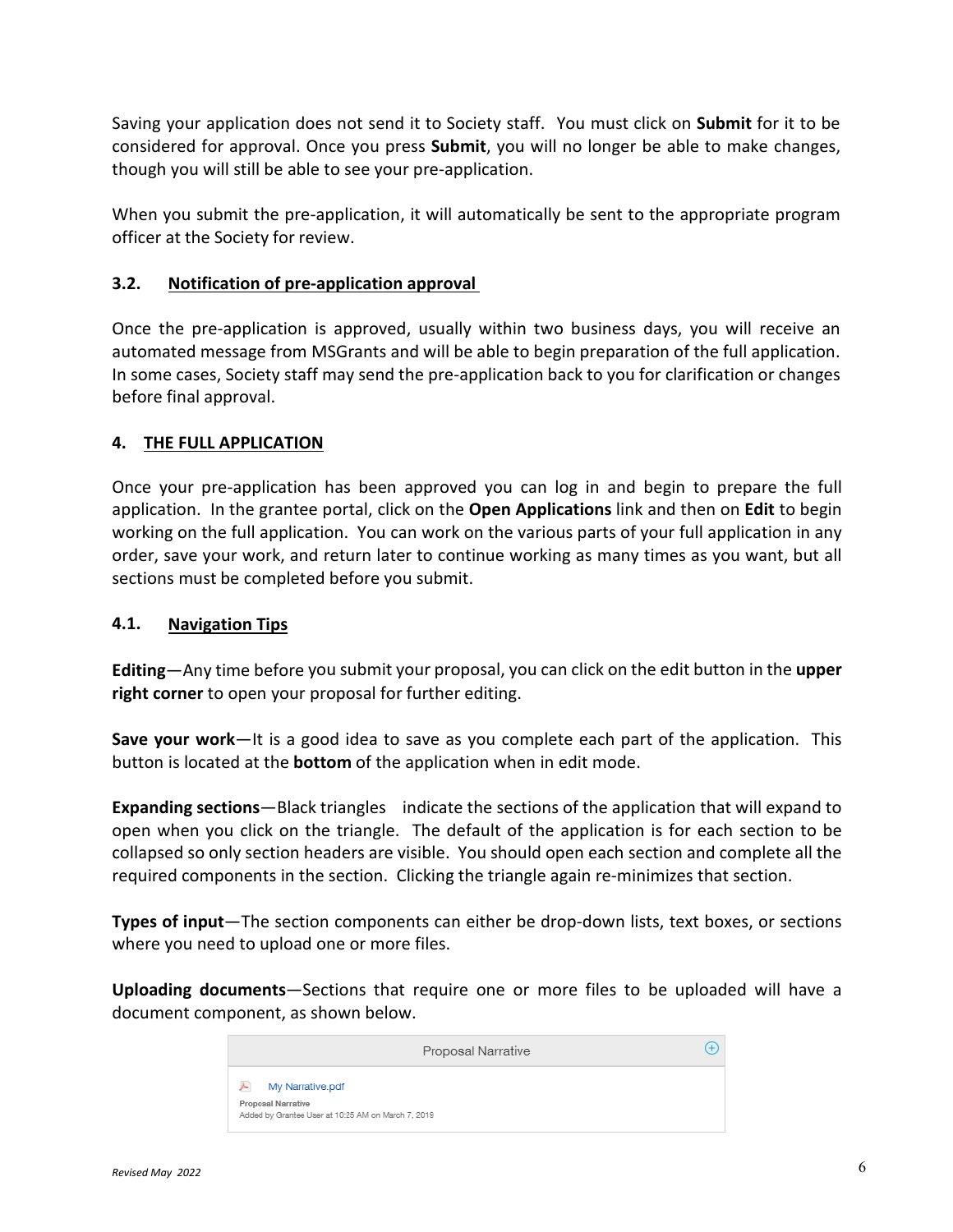Saving your application does not send it to Society staff. You must click on **Submit** for it to be considered for approval. Once you press **Submit**, you will no longer be able to make changes, though you will still be able to see your pre-application.

When you submit the pre-application, it will automatically be sent to the appropriate program officer at the Society for review.

## **3.2. Notification of pre-application approval**

Once the pre-application is approved, usually within two business days, you will receive an automated message from MSGrants and will be able to begin preparation of the full application. In some cases, Society staff may send the pre-application back to you for clarification or changes before final approval.

## **4. THE FULL APPLICATION**

Once your pre-application has been approved you can log in and begin to prepare the full application. In the grantee portal, click on the **Open Applications** link and then on **Edit** to begin working on the full application. You can work on the various parts of your full application in any order, save your work, and return later to continue working as many times as you want, but all sections must be completed before you submit.

### **4.1. Navigation Tips**

**Editing**—Any time before you submit your proposal, you can click on the edit button in the **upper right corner** to open your proposal for further editing.

**Save your work**—It is a good idea to save as you complete each part of the application. This button is located at the **bottom** of the application when in edit mode.

**Expanding sections**—Black triangles indicate the sections of the application that will expand to open when you click on the triangle. The default of the application is for each section to be collapsed so only section headers are visible. You should open each section and complete all the required components in the section. Clicking the triangle again re-minimizes that section.

**Types of input**—The section components can either be drop-down lists, text boxes, or sections where you need to upload one or more files.

**Uploading documents**—Sections that require one or more files to be uploaded will have a document component, as shown below.

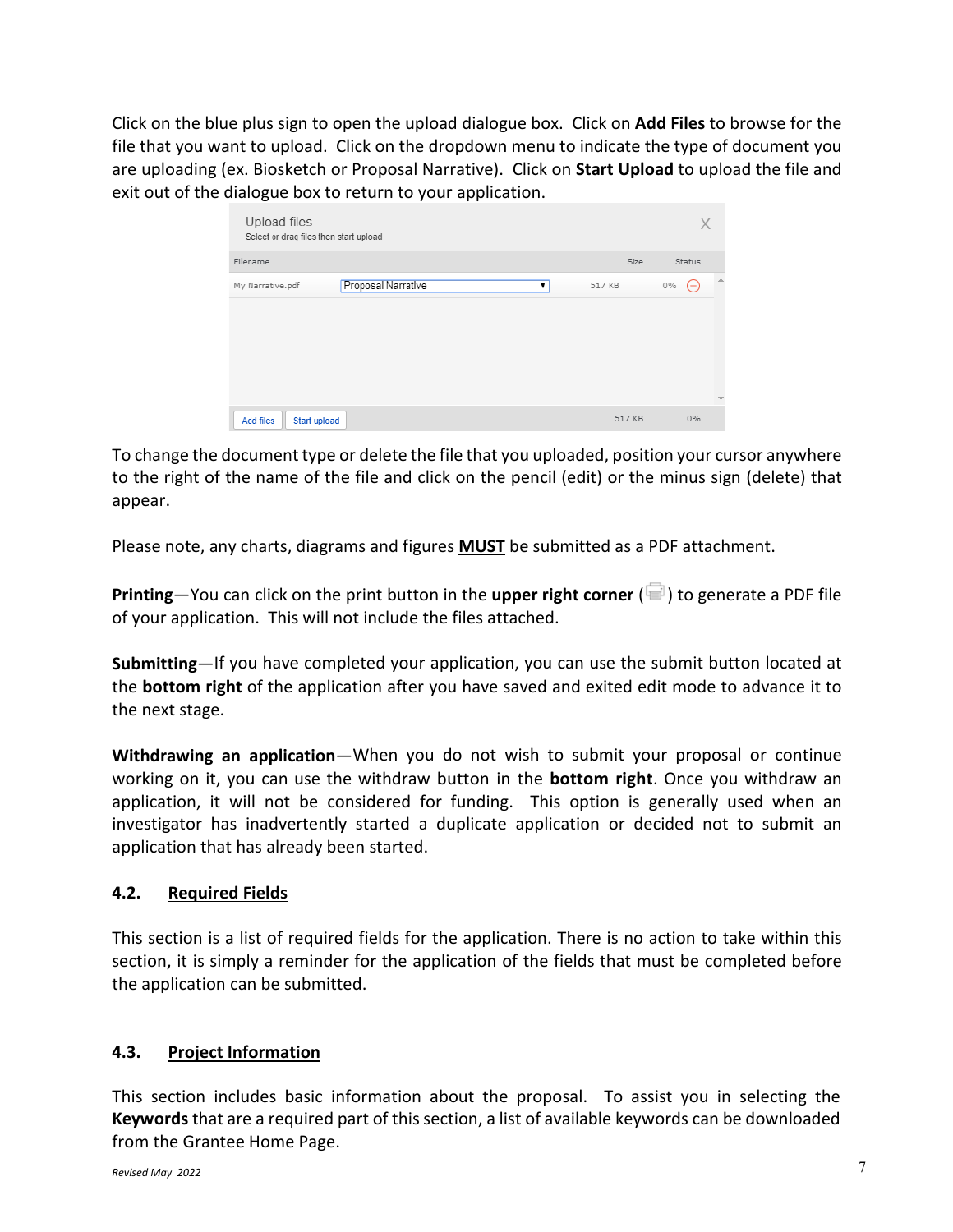Click on the blue plus sign to open the upload dialogue box. Click on **Add Files** to browse for the file that you want to upload. Click on the dropdown menu to indicate the type of document you are uploading (ex. Biosketch or Proposal Narrative). Click on **Start Upload** to upload the file and exit out of the dialogue box to return to your application.

| Upload files<br>Select or drag files then start upload |        | Х                        |
|--------------------------------------------------------|--------|--------------------------|
| Filename                                               | Size   | Status                   |
| Proposal Narrative<br>My Narrative.pdf                 | 517 KB | 盀<br>$0\%$<br>$(-)$      |
|                                                        |        | $\overline{\phantom{a}}$ |
| Start upload<br>Add files                              | 517 KB | 0%                       |

To change the document type or delete the file that you uploaded, position your cursor anywhere to the right of the name of the file and click on the pencil (edit) or the minus sign (delete) that appear.

Please note, any charts, diagrams and figures **MUST** be submitted as a PDF attachment.

**Printing**—You can click on the print button in the **upper right corner** ( $\blacksquare$ ) to generate a PDF file of your application. This will not include the files attached.

**Submitting**—If you have completed your application, you can use the submit button located at the **bottom right** of the application after you have saved and exited edit mode to advance it to the next stage.

**Withdrawing an application**—When you do not wish to submit your proposal or continue working on it, you can use the withdraw button in the **bottom right**. Once you withdraw an application, it will not be considered for funding. This option is generally used when an investigator has inadvertently started a duplicate application or decided not to submit an application that has already been started.

# **4.2. Required Fields**

This section is a list of required fields for the application. There is no action to take within this section, it is simply a reminder for the application of the fields that must be completed before the application can be submitted.

# **4.3. Project Information**

This section includes basic information about the proposal. To assist you in selecting the **Keywords** that are a required part of this section, a list of available keywords can be downloaded from the Grantee Home Page.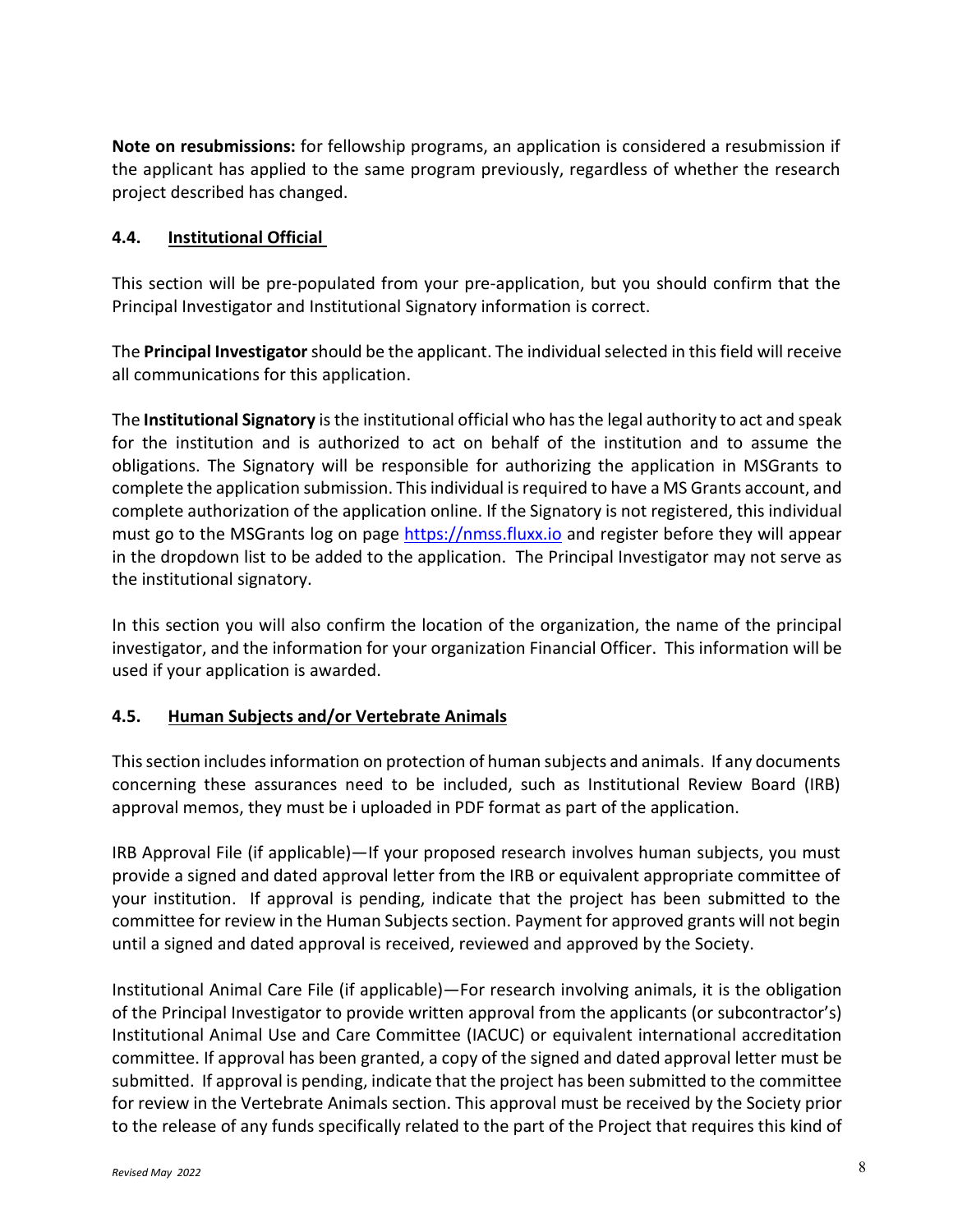**Note on resubmissions:** for fellowship programs, an application is considered a resubmission if the applicant has applied to the same program previously, regardless of whether the research project described has changed.

## **4.4. Institutional Official**

This section will be pre-populated from your pre-application, but you should confirm that the Principal Investigator and Institutional Signatory information is correct.

The **Principal Investigator**should be the applicant. The individual selected in this field will receive all communications for this application.

The **Institutional Signatory** is the institutional official who has the legal authority to act and speak for the institution and is authorized to act on behalf of the institution and to assume the obligations. The Signatory will be responsible for authorizing the application in MSGrants to complete the application submission. This individual is required to have a MS Grants account, and complete authorization of the application online. If the Signatory is not registered, this individual must go to the MSGrants log on page [https://nmss.fluxx.io](https://nmss.fluxx.io/) and register before they will appear in the dropdown list to be added to the application. The Principal Investigator may not serve as the institutional signatory.

In this section you will also confirm the location of the organization, the name of the principal investigator, and the information for your organization Financial Officer. This information will be used if your application is awarded.

### **4.5. Human Subjects and/or Vertebrate Animals**

This section includes information on protection of human subjects and animals. If any documents concerning these assurances need to be included, such as Institutional Review Board (IRB) approval memos, they must be i uploaded in PDF format as part of the application.

IRB Approval File (if applicable)—If your proposed research involves human subjects, you must provide a signed and dated approval letter from the IRB or equivalent appropriate committee of your institution. If approval is pending, indicate that the project has been submitted to the committee for review in the Human Subjects section. Payment for approved grants will not begin until a signed and dated approval is received, reviewed and approved by the Society.

Institutional Animal Care File (if applicable)—For research involving animals, it is the obligation of the Principal Investigator to provide written approval from the applicants (or subcontractor's) Institutional Animal Use and Care Committee (IACUC) or equivalent international accreditation committee. If approval has been granted, a copy of the signed and dated approval letter must be submitted. If approval is pending, indicate that the project has been submitted to the committee for review in the Vertebrate Animals section. This approval must be received by the Society prior to the release of any funds specifically related to the part of the Project that requires this kind of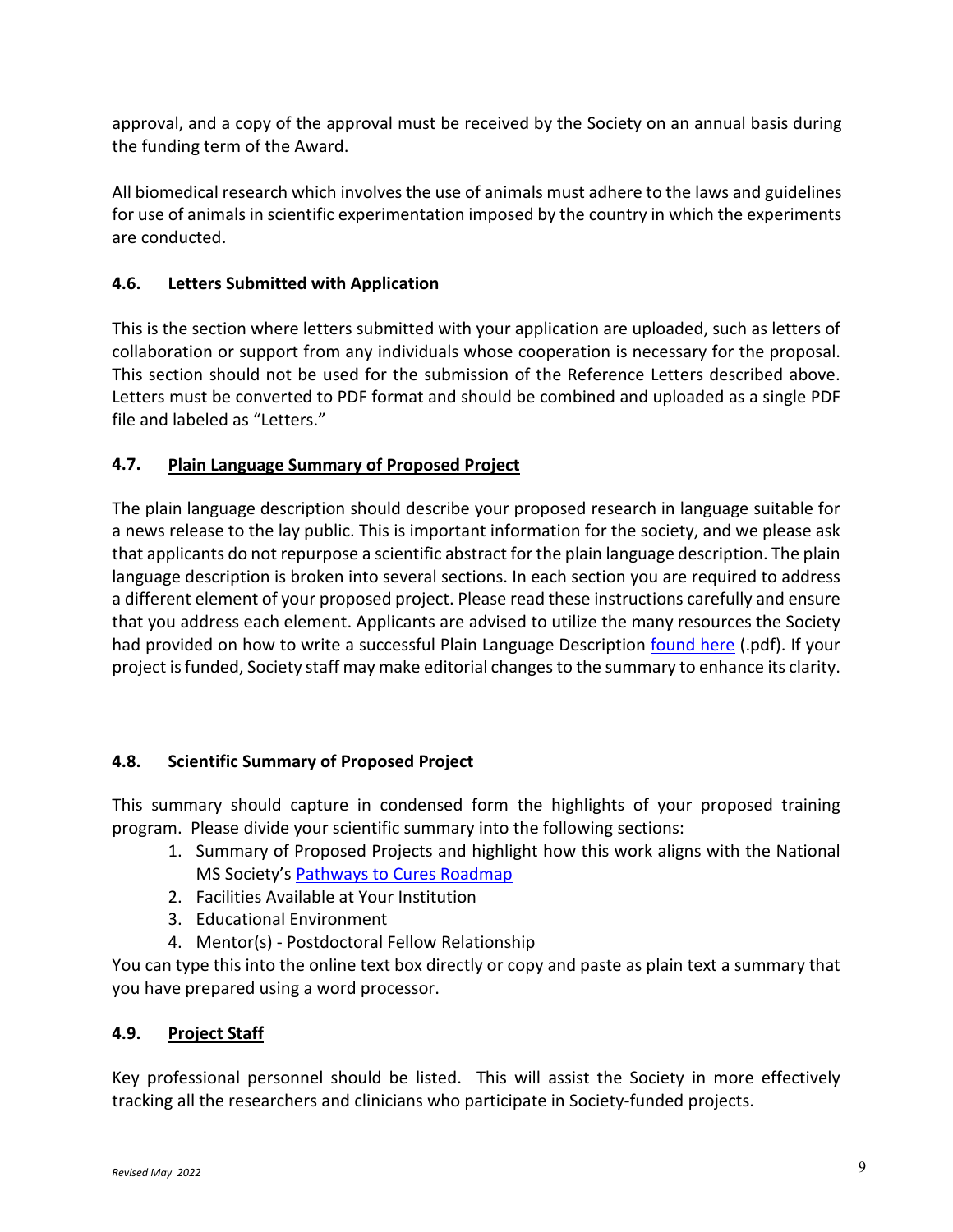approval, and a copy of the approval must be received by the Society on an annual basis during the funding term of the Award.

All biomedical research which involves the use of animals must adhere to the laws and guidelines for use of animals in scientific experimentation imposed by the country in which the experiments are conducted.

# **4.6. Letters Submitted with Application**

This is the section where letters submitted with your application are uploaded, such as letters of collaboration or support from any individuals whose cooperation is necessary for the proposal. This section should not be used for the submission of the Reference Letters described above. Letters must be converted to PDF format and should be combined and uploaded as a single PDF file and labeled as "Letters."

# **4.7. Plain Language Summary of Proposed Project**

The plain language description should describe your proposed research in language suitable for a news release to the lay public. This is important information for the society, and we please ask that applicants do not repurpose a scientific abstract for the plain language description. The plain language description is broken into several sections. In each section you are required to address a different element of your proposed project. Please read these instructions carefully and ensure that you address each element. Applicants are advised to utilize the many resources the Society had provided on how to write a successful Plain Language Description [found here](https://nms2cdn.azureedge.net/cmssite/nationalmssociety/media/msnationalfiles/research/examples_of_plain_language_summaries.pdf) (.pdf). If your project is funded, Society staff may make editorial changesto the summary to enhance its clarity.

# **4.8. Scientific Summary of Proposed Project**

This summary should capture in condensed form the highlights of your proposed training program. Please divide your scientific summary into the following sections:

- 1. Summary of Proposed Projects and highlight how this work aligns with the National MS Society's [Pathways to Cures Roadmap](https://journals.sagepub.com/doi/10.1177/13524585221075990)
- 2. Facilities Available at Your Institution
- 3. Educational Environment
- 4. Mentor(s) Postdoctoral Fellow Relationship

You can type this into the online text box directly or copy and paste as plain text a summary that you have prepared using a word processor.

# **4.9. Project Staff**

Key professional personnel should be listed. This will assist the Society in more effectively tracking all the researchers and clinicians who participate in Society-funded projects.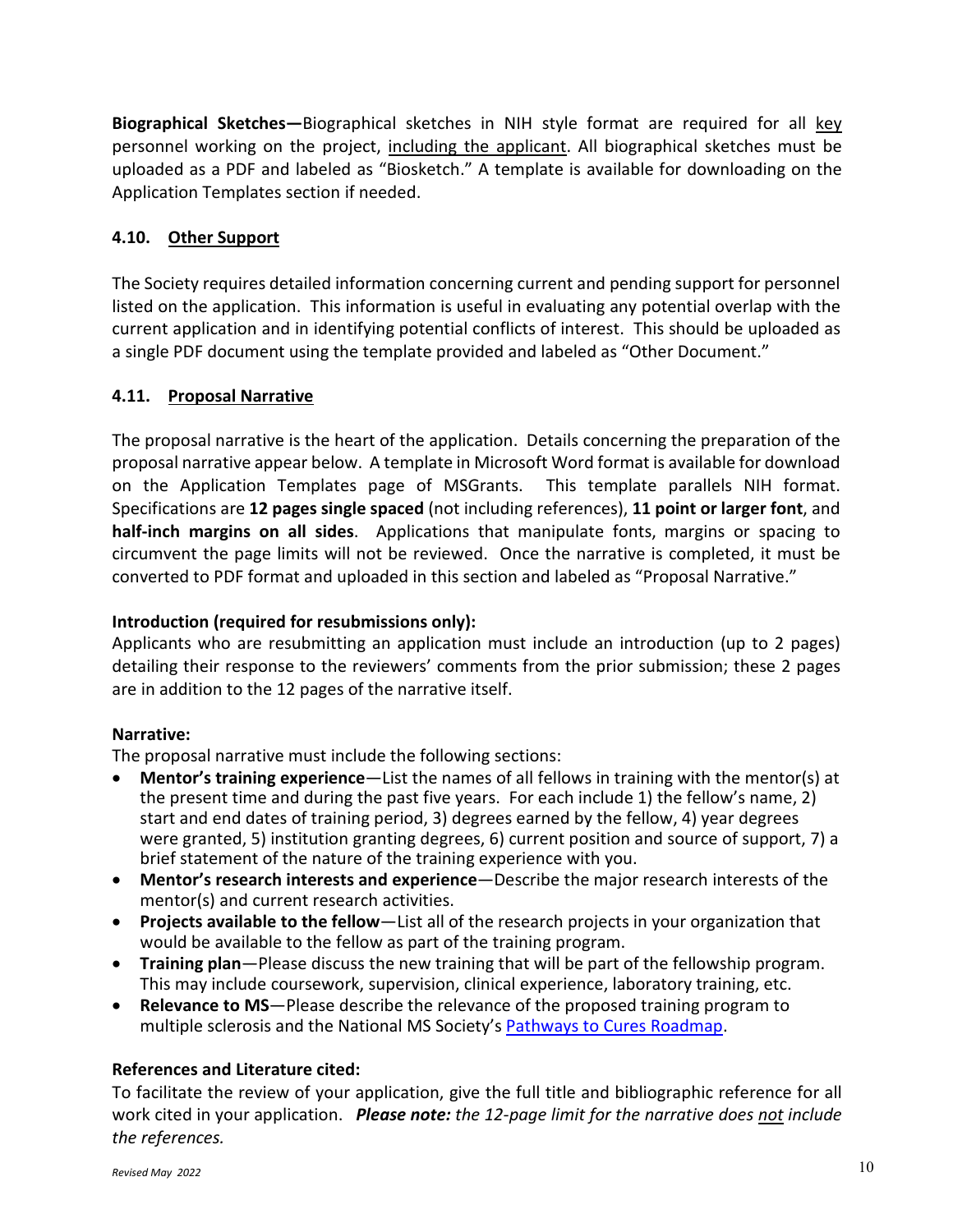**Biographical Sketches—**Biographical sketches in NIH style format are required for all key personnel working on the project, including the applicant. All biographical sketches must be uploaded as a PDF and labeled as "Biosketch." A template is available for downloading on the Application Templates section if needed.

# **4.10. Other Support**

The Society requires detailed information concerning current and pending support for personnel listed on the application. This information is useful in evaluating any potential overlap with the current application and in identifying potential conflicts of interest. This should be uploaded as a single PDF document using the template provided and labeled as "Other Document."

# **4.11. Proposal Narrative**

The proposal narrative is the heart of the application. Details concerning the preparation of the proposal narrative appear below. A template in Microsoft Word format is available for download on the Application Templates page of MSGrants. This template parallels NIH format. Specifications are **12 pages single spaced** (not including references), **11 point or larger font**, and **half-inch margins on all sides**. Applications that manipulate fonts, margins or spacing to circumvent the page limits will not be reviewed. Once the narrative is completed, it must be converted to PDF format and uploaded in this section and labeled as "Proposal Narrative."

## **Introduction (required for resubmissions only):**

Applicants who are resubmitting an application must include an introduction (up to 2 pages) detailing their response to the reviewers' comments from the prior submission; these 2 pages are in addition to the 12 pages of the narrative itself.

### **Narrative:**

The proposal narrative must include the following sections:

- **Mentor's training experience**—List the names of all fellows in training with the mentor(s) at the present time and during the past five years. For each include 1) the fellow's name, 2) start and end dates of training period, 3) degrees earned by the fellow, 4) year degrees were granted, 5) institution granting degrees, 6) current position and source of support, 7) a brief statement of the nature of the training experience with you.
- **Mentor's research interests and experience**—Describe the major research interests of the mentor(s) and current research activities.
- **Projects available to the fellow**—List all of the research projects in your organization that would be available to the fellow as part of the training program.
- **Training plan**—Please discuss the new training that will be part of the fellowship program. This may include coursework, supervision, clinical experience, laboratory training, etc.
- **Relevance to MS**—Please describe the relevance of the proposed training program to multiple sclerosis and the National MS Society's [Pathways to Cures Roadmap.](https://journals.sagepub.com/doi/10.1177/13524585221075990)

# **References and Literature cited:**

To facilitate the review of your application, give the full title and bibliographic reference for all work cited in your application. *Please note: the 12-page limit for the narrative does not include the references.*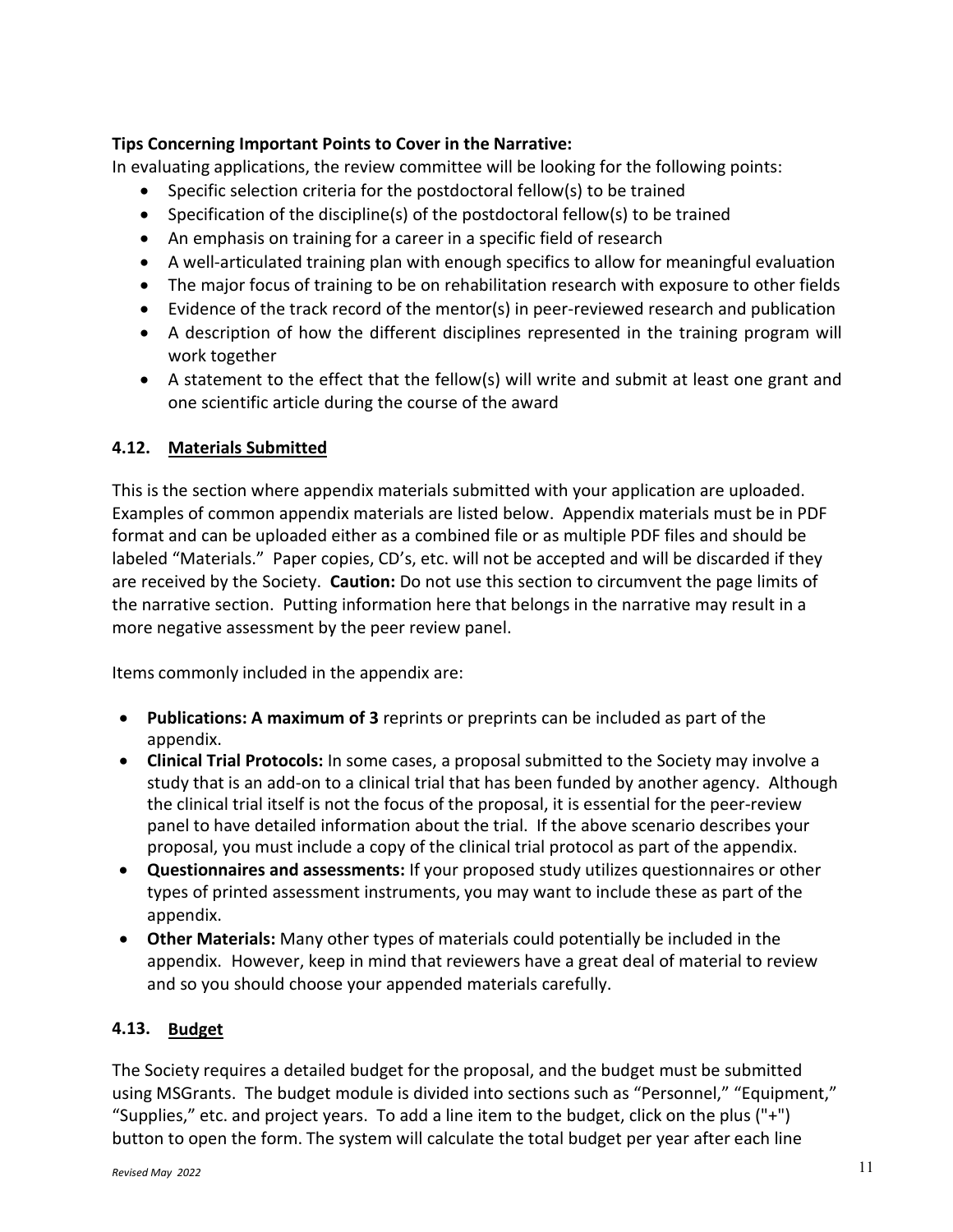## **Tips Concerning Important Points to Cover in the Narrative:**

In evaluating applications, the review committee will be looking for the following points:

- Specific selection criteria for the postdoctoral fellow(s) to be trained
- Specification of the discipline(s) of the postdoctoral fellow(s) to be trained
- An emphasis on training for a career in a specific field of research
- A well-articulated training plan with enough specifics to allow for meaningful evaluation
- The major focus of training to be on rehabilitation research with exposure to other fields
- Evidence of the track record of the mentor(s) in peer-reviewed research and publication
- A description of how the different disciplines represented in the training program will work together
- A statement to the effect that the fellow(s) will write and submit at least one grant and one scientific article during the course of the award

## **4.12. Materials Submitted**

This is the section where appendix materials submitted with your application are uploaded. Examples of common appendix materials are listed below. Appendix materials must be in PDF format and can be uploaded either as a combined file or as multiple PDF files and should be labeled "Materials." Paper copies, CD's, etc. will not be accepted and will be discarded if they are received by the Society. **Caution:** Do not use this section to circumvent the page limits of the narrative section. Putting information here that belongs in the narrative may result in a more negative assessment by the peer review panel.

Items commonly included in the appendix are:

- **Publications: A maximum of 3** reprints or preprints can be included as part of the appendix.
- **Clinical Trial Protocols:** In some cases, a proposal submitted to the Society may involve a study that is an add-on to a clinical trial that has been funded by another agency. Although the clinical trial itself is not the focus of the proposal, it is essential for the peer-review panel to have detailed information about the trial. If the above scenario describes your proposal, you must include a copy of the clinical trial protocol as part of the appendix.
- **Questionnaires and assessments:** If your proposed study utilizes questionnaires or other types of printed assessment instruments, you may want to include these as part of the appendix.
- **Other Materials:** Many other types of materials could potentially be included in the appendix. However, keep in mind that reviewers have a great deal of material to review and so you should choose your appended materials carefully.

# **4.13. Budget**

The Society requires a detailed budget for the proposal, and the budget must be submitted using MSGrants. The budget module is divided into sections such as "Personnel," "Equipment," "Supplies," etc. and project years. To add a line item to the budget, click on the plus  $("+")$ button to open the form. The system will calculate the total budget per year after each line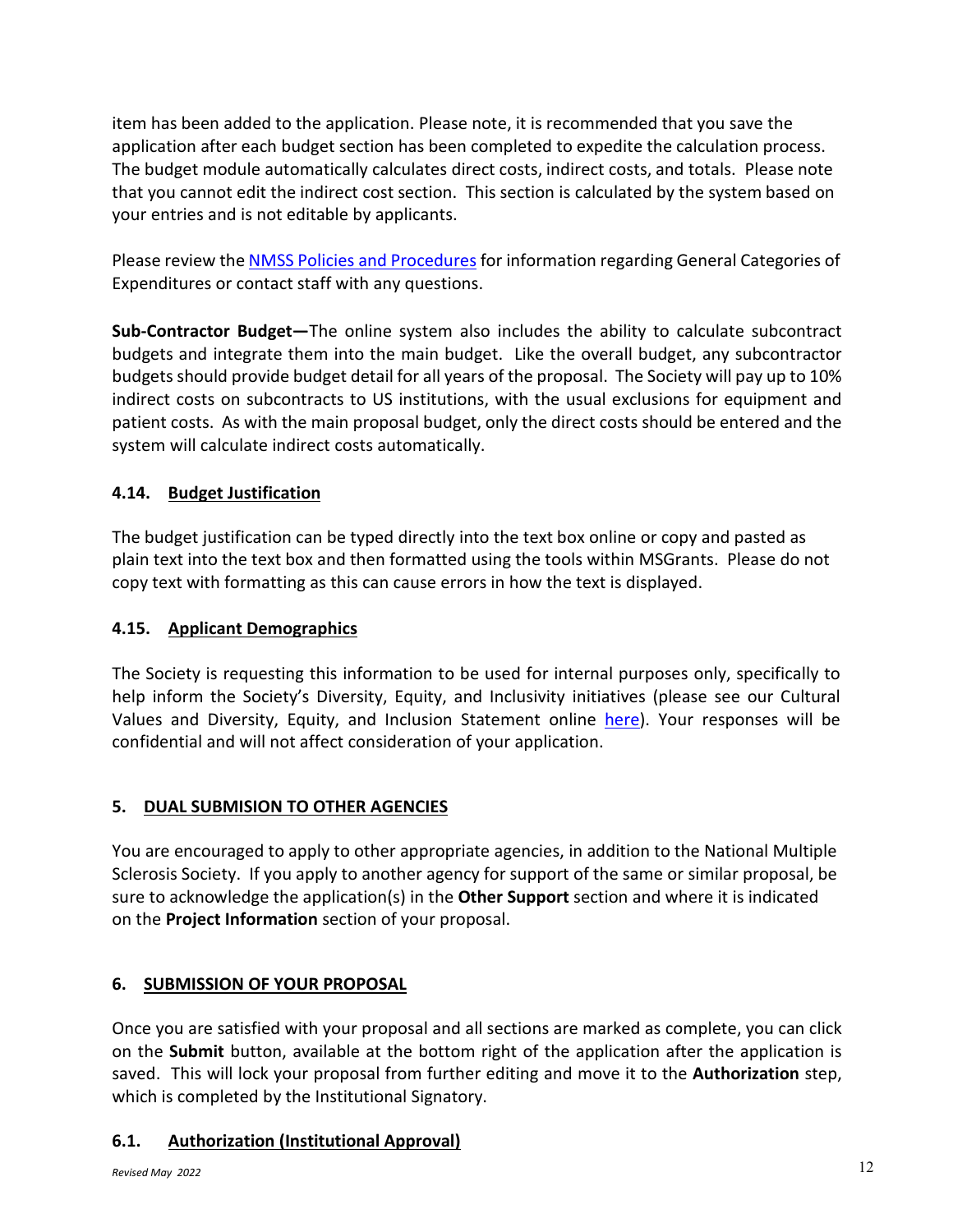item has been added to the application. Please note, it is recommended that you save the application after each budget section has been completed to expedite the calculation process. The budget module automatically calculates direct costs, indirect costs, and totals. Please note that you cannot edit the indirect cost section. This section is calculated by the system based on your entries and is not editable by applicants.

Please review the [NMSS Policies and Procedures](http://www.nationalmssociety.org/For-Professionals/Researchers/Funding-Policies-and-Procedures) for information regarding General Categories of Expenditures or contact staff with any questions.

**Sub-Contractor Budget—**The online system also includes the ability to calculate subcontract budgets and integrate them into the main budget. Like the overall budget, any subcontractor budgets should provide budget detail for all years of the proposal. The Society will pay up to 10% indirect costs on subcontracts to US institutions, with the usual exclusions for equipment and patient costs. As with the main proposal budget, only the direct costs should be entered and the system will calculate indirect costs automatically.

# **4.14. Budget Justification**

The budget justification can be typed directly into the text box online or copy and pasted as plain text into the text box and then formatted using the tools within MSGrants. Please do not copy text with formatting as this can cause errors in how the text is displayed.

# **4.15. Applicant Demographics**

The Society is requesting this information to be used for internal purposes only, specifically to help inform the Society's Diversity, Equity, and Inclusivity initiatives (please see our Cultural Values and Diversity, Equity, and Inclusion Statement online [here\)](https://www.nationalmssociety.org/About-the-Society/Cultural-Values). Your responses will be confidential and will not affect consideration of your application.

# **5. DUAL SUBMISION TO OTHER AGENCIES**

You are encouraged to apply to other appropriate agencies, in addition to the National Multiple Sclerosis Society. If you apply to another agency for support of the same or similar proposal, be sure to acknowledge the application(s) in the **Other Support** section and where it is indicated on the **Project Information** section of your proposal.

# **6. SUBMISSION OF YOUR PROPOSAL**

Once you are satisfied with your proposal and all sections are marked as complete, you can click on the **Submit** button, available at the bottom right of the application after the application is saved. This will lock your proposal from further editing and move it to the **Authorization** step, which is completed by the Institutional Signatory.

# **6.1. Authorization (Institutional Approval)**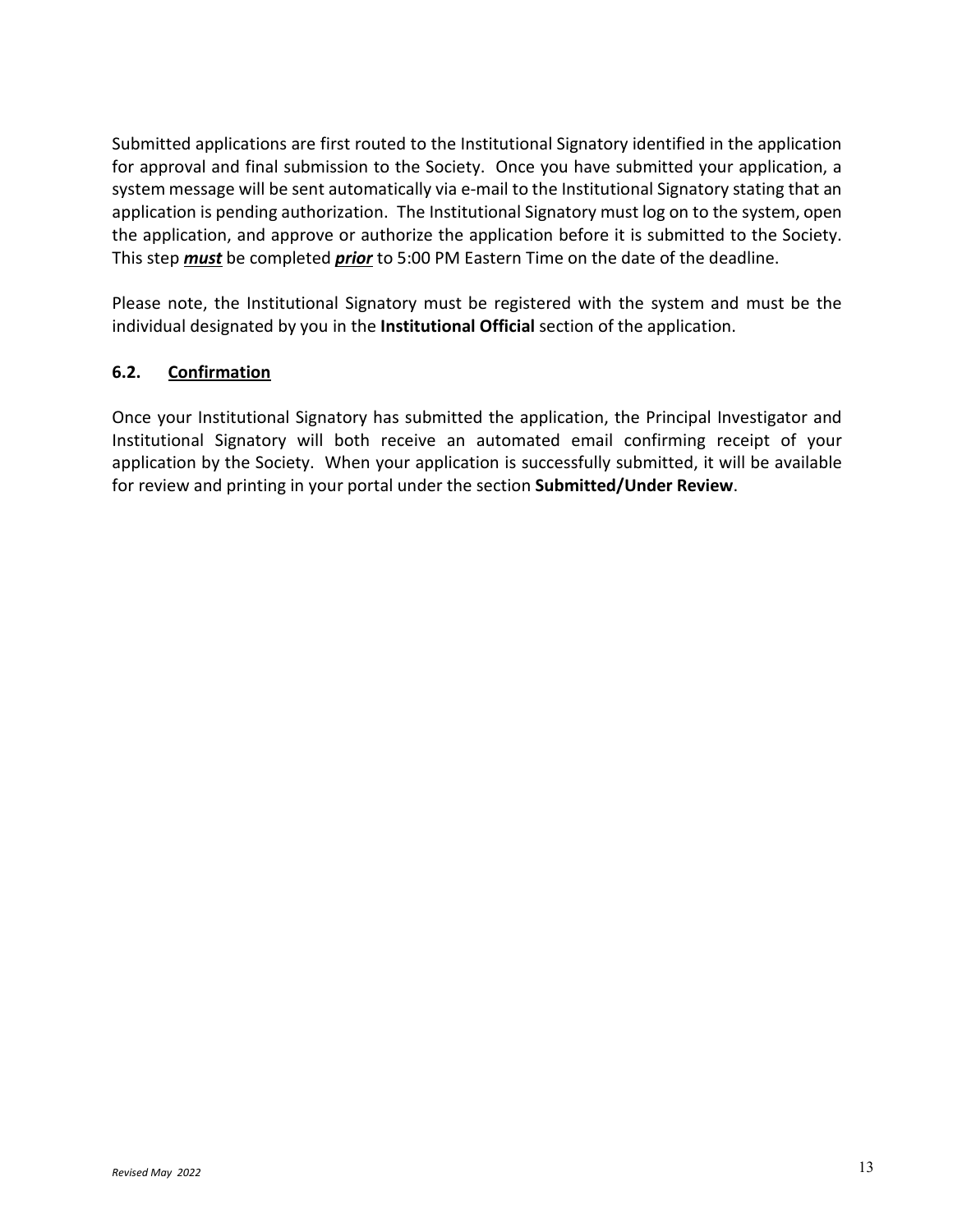Submitted applications are first routed to the Institutional Signatory identified in the application for approval and final submission to the Society. Once you have submitted your application, a system message will be sent automatically via e-mail to the Institutional Signatory stating that an application is pending authorization. The Institutional Signatory must log on to the system, open the application, and approve or authorize the application before it is submitted to the Society. This step *must* be completed *prior* to 5:00 PM Eastern Time on the date of the deadline.

Please note, the Institutional Signatory must be registered with the system and must be the individual designated by you in the **Institutional Official** section of the application.

# **6.2. Confirmation**

Once your Institutional Signatory has submitted the application, the Principal Investigator and Institutional Signatory will both receive an automated email confirming receipt of your application by the Society. When your application is successfully submitted, it will be available for review and printing in your portal under the section **Submitted/Under Review**.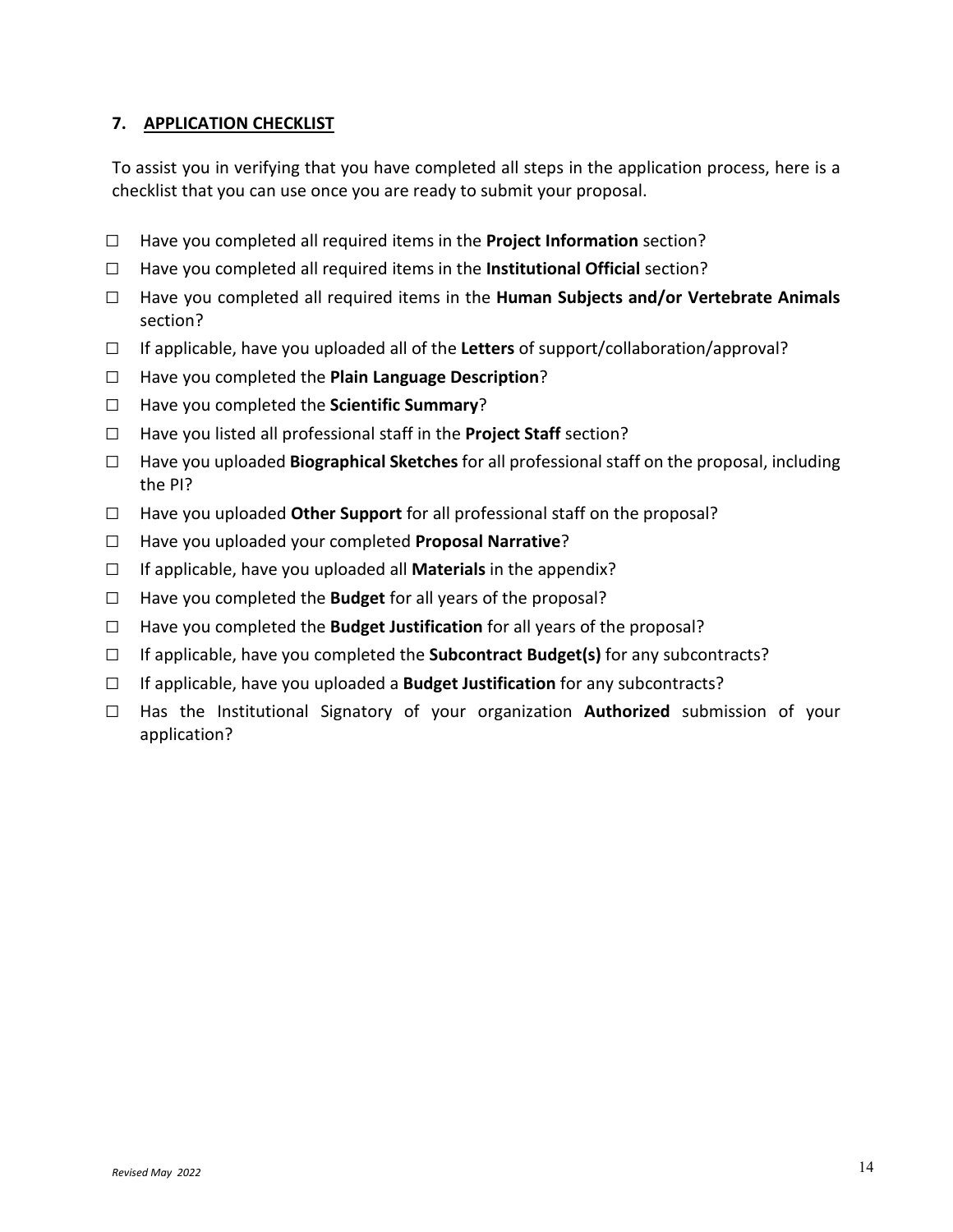## **7. APPLICATION CHECKLIST**

To assist you in verifying that you have completed all steps in the application process, here is a checklist that you can use once you are ready to submit your proposal.

- □ Have you completed all required items in the **Project Information** section?
- □ Have you completed all required items in the **Institutional Official** section?
- □ Have you completed all required items in the **Human Subjects and/or Vertebrate Animals**  section?
- □ If applicable, have you uploaded all of the **Letters** of support/collaboration/approval?
- □ Have you completed the **Plain Language Description**?
- □ Have you completed the **Scientific Summary**?
- □ Have you listed all professional staff in the **Project Staff** section?
- □ Have you uploaded **Biographical Sketches** for all professional staff on the proposal, including the PI?
- □ Have you uploaded **Other Support** for all professional staff on the proposal?
- □ Have you uploaded your completed **Proposal Narrative**?
- □ If applicable, have you uploaded all **Materials** in the appendix?
- □ Have you completed the **Budget** for all years of the proposal?
- □ Have you completed the **Budget Justification** for all years of the proposal?
- □ If applicable, have you completed the **Subcontract Budget(s)** for any subcontracts?
- □ If applicable, have you uploaded a **Budget Justification** for any subcontracts?
- □ Has the Institutional Signatory of your organization **Authorized** submission of your application?